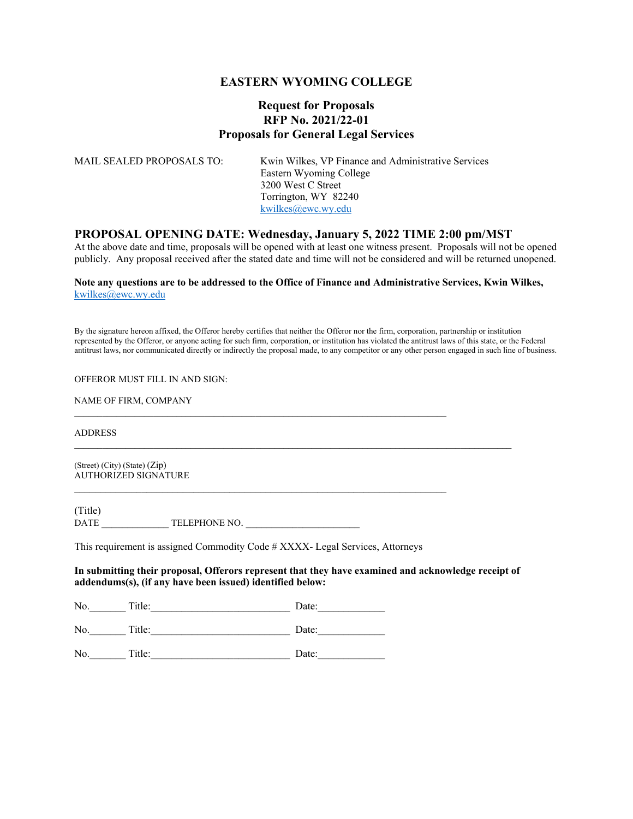#### **EASTERN WYOMING COLLEGE**

### **Request for Proposals RFP No. 2021/22-01 Proposals for General Legal Services**

| MAIL SEALED PROPOSALS TO: | Kwin Wilkes, VP Finance and Administrative Services<br>Eastern Wyoming College<br>3200 West C Street<br>Torrington, WY 82240 |
|---------------------------|------------------------------------------------------------------------------------------------------------------------------|
|                           | kwilkes@ewc.wy.edu                                                                                                           |

#### **PROPOSAL OPENING DATE: Wednesday, January 5, 2022 TIME 2:00 pm/MST**

At the above date and time, proposals will be opened with at least one witness present. Proposals will not be opened publicly. Any proposal received after the stated date and time will not be considered and will be returned unopened.

#### **Note any questions are to be addressed to the Office of Finance and Administrative Services, Kwin Wilkes,**  kwilkes@ewc.wy.edu

By the signature hereon affixed, the Offeror hereby certifies that neither the Offeror nor the firm, corporation, partnership or institution represented by the Offeror, or anyone acting for such firm, corporation, or institution has violated the antitrust laws of this state, or the Federal antitrust laws, nor communicated directly or indirectly the proposal made, to any competitor or any other person engaged in such line of business.

#### OFFEROR MUST FILL IN AND SIGN:

NAME OF FIRM, COMPANY

ADDRESS

(Street) (City) (State) (Zip) AUTHORIZED SIGNATURE

(Title) DATE \_\_\_\_\_\_\_\_\_\_\_\_\_\_\_ TELEPHONE NO.

This requirement is assigned Commodity Code # XXXX- Legal Services, Attorneys

 $\mathcal{L}_\text{max}$ 

 $\_$  , and the set of the set of the set of the set of the set of the set of the set of the set of the set of the set of the set of the set of the set of the set of the set of the set of the set of the set of the set of th

#### **In submitting their proposal, Offerors represent that they have examined and acknowledge receipt of addendums(s), (if any have been issued) identified below:**

| 'N.<br>. . |   |     |
|------------|---|-----|
|            |   |     |
|            | . | $-$ |

No. Title: Date:

No.\_\_\_\_\_\_\_ Title:\_\_\_\_\_\_\_\_\_\_\_\_\_\_\_\_\_\_\_\_\_\_\_\_\_\_\_ Date:\_\_\_\_\_\_\_\_\_\_\_\_\_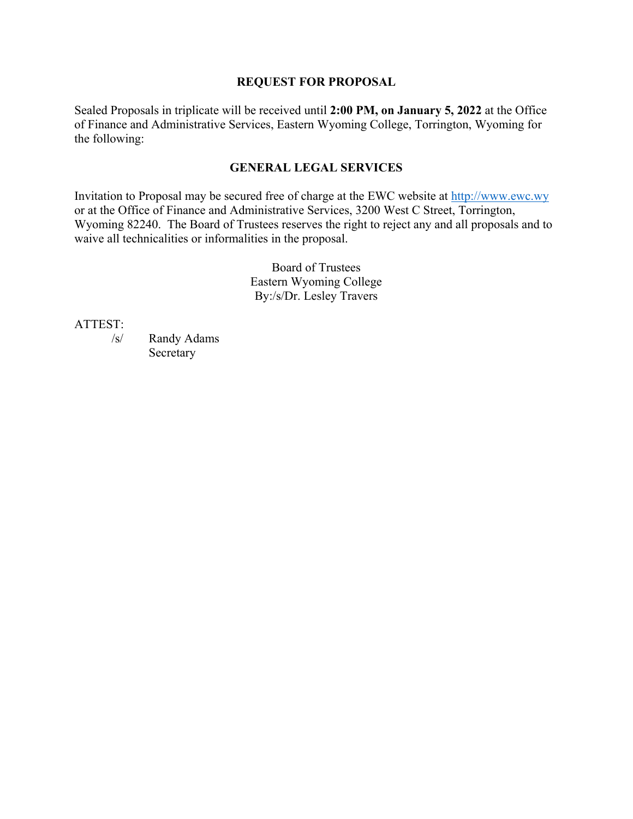### **REQUEST FOR PROPOSAL**

Sealed Proposals in triplicate will be received until **2:00 PM, on January 5, 2022** at the Office of Finance and Administrative Services, Eastern Wyoming College, Torrington, Wyoming for the following:

## **GENERAL LEGAL SERVICES**

Invitation to Proposal may be secured free of charge at the EWC website at http://www.ewc.wy or at the Office of Finance and Administrative Services, 3200 West C Street, Torrington, Wyoming 82240. The Board of Trustees reserves the right to reject any and all proposals and to waive all technicalities or informalities in the proposal.

> Board of Trustees Eastern Wyoming College By:/s/Dr. Lesley Travers

ATTEST:

 /s/ Randy Adams Secretary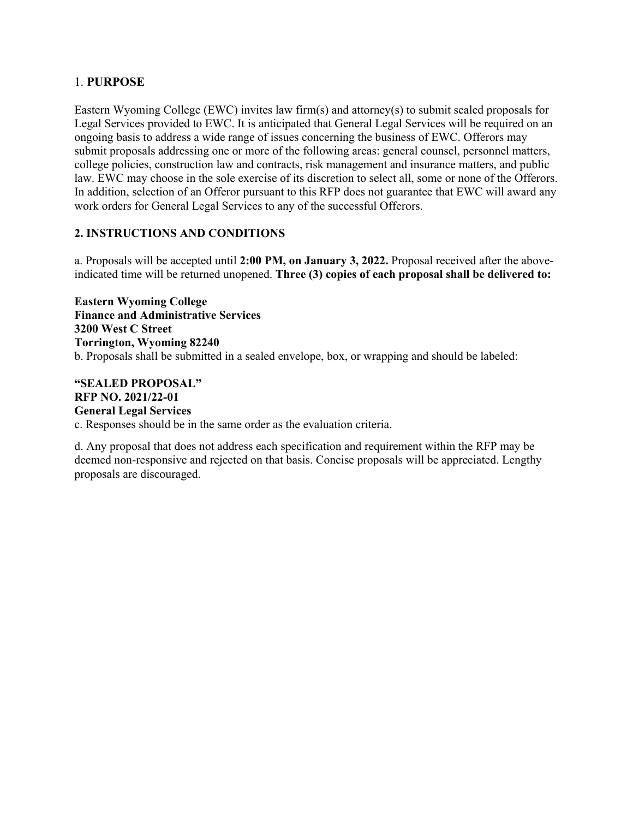## 1. **PURPOSE**

Eastern Wyoming College (EWC) invites law firm(s) and attorney(s) to submit sealed proposals for Legal Services provided to EWC. It is anticipated that General Legal Services will be required on an ongoing basis to address a wide range of issues concerning the business of EWC. Offerors may submit proposals addressing one or more of the following areas: general counsel, personnel matters, college policies, construction law and contracts, risk management and insurance matters, and public law. EWC may choose in the sole exercise of its discretion to select all, some or none of the Offerors. In addition, selection of an Offeror pursuant to this RFP does not guarantee that EWC will award any work orders for General Legal Services to any of the successful Offerors.

## **2. INSTRUCTIONS AND CONDITIONS**

a. Proposals will be accepted until **2:00 PM, on January 3, 2022.** Proposal received after the aboveindicated time will be returned unopened. **Three (3) copies of each proposal shall be delivered to:** 

**Eastern Wyoming College Finance and Administrative Services 3200 West C Street Torrington, Wyoming 82240** b. Proposals shall be submitted in a sealed envelope, box, or wrapping and should be labeled:

## **"SEALED PROPOSAL" RFP NO. 2021/22-01 General Legal Services**

c. Responses should be in the same order as the evaluation criteria.

d. Any proposal that does not address each specification and requirement within the RFP may be deemed non-responsive and rejected on that basis. Concise proposals will be appreciated. Lengthy proposals are discouraged.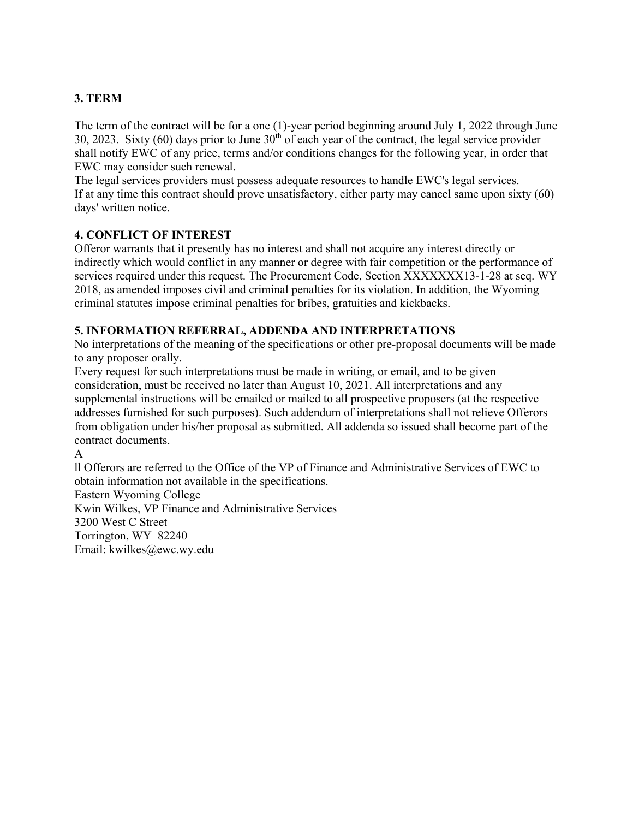## **3. TERM**

The term of the contract will be for a one (1)-year period beginning around July 1, 2022 through June 30, 2023. Sixty  $(60)$  days prior to June  $30<sup>th</sup>$  of each year of the contract, the legal service provider shall notify EWC of any price, terms and/or conditions changes for the following year, in order that EWC may consider such renewal.

The legal services providers must possess adequate resources to handle EWC's legal services. If at any time this contract should prove unsatisfactory, either party may cancel same upon sixty (60) days' written notice.

## **4. CONFLICT OF INTEREST**

Offeror warrants that it presently has no interest and shall not acquire any interest directly or indirectly which would conflict in any manner or degree with fair competition or the performance of services required under this request. The Procurement Code, Section XXXXXXX13-1-28 at seq. WY 2018, as amended imposes civil and criminal penalties for its violation. In addition, the Wyoming criminal statutes impose criminal penalties for bribes, gratuities and kickbacks.

## **5. INFORMATION REFERRAL, ADDENDA AND INTERPRETATIONS**

No interpretations of the meaning of the specifications or other pre-proposal documents will be made to any proposer orally.

Every request for such interpretations must be made in writing, or email, and to be given consideration, must be received no later than August 10, 2021. All interpretations and any supplemental instructions will be emailed or mailed to all prospective proposers (at the respective addresses furnished for such purposes). Such addendum of interpretations shall not relieve Offerors from obligation under his/her proposal as submitted. All addenda so issued shall become part of the contract documents.

A

ll Offerors are referred to the Office of the VP of Finance and Administrative Services of EWC to obtain information not available in the specifications.

Eastern Wyoming College

Kwin Wilkes, VP Finance and Administrative Services 3200 West C Street Torrington, WY 82240

Email: kwilkes@ewc.wy.edu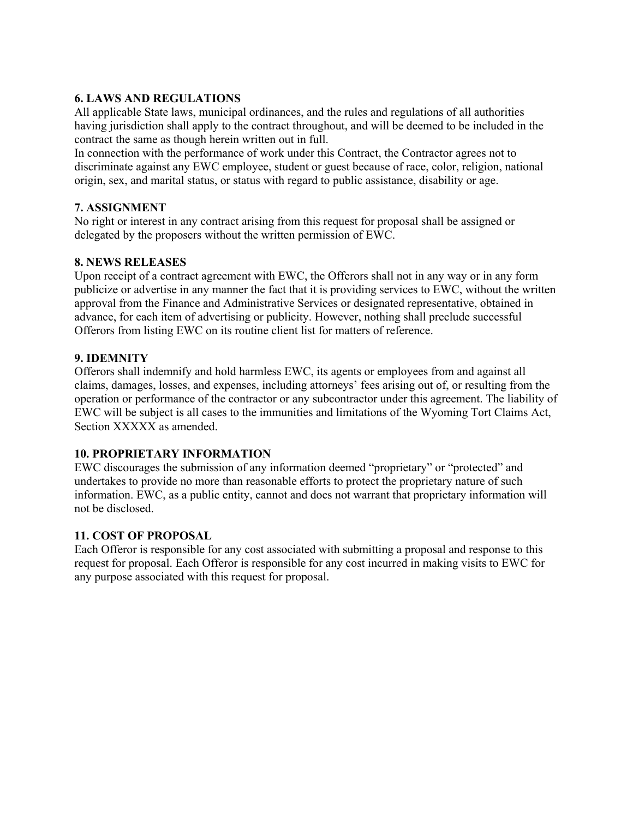## **6. LAWS AND REGULATIONS**

All applicable State laws, municipal ordinances, and the rules and regulations of all authorities having jurisdiction shall apply to the contract throughout, and will be deemed to be included in the contract the same as though herein written out in full.

In connection with the performance of work under this Contract, the Contractor agrees not to discriminate against any EWC employee, student or guest because of race, color, religion, national origin, sex, and marital status, or status with regard to public assistance, disability or age.

### **7. ASSIGNMENT**

No right or interest in any contract arising from this request for proposal shall be assigned or delegated by the proposers without the written permission of EWC.

## **8. NEWS RELEASES**

Upon receipt of a contract agreement with EWC, the Offerors shall not in any way or in any form publicize or advertise in any manner the fact that it is providing services to EWC, without the written approval from the Finance and Administrative Services or designated representative, obtained in advance, for each item of advertising or publicity. However, nothing shall preclude successful Offerors from listing EWC on its routine client list for matters of reference.

## **9. IDEMNITY**

Offerors shall indemnify and hold harmless EWC, its agents or employees from and against all claims, damages, losses, and expenses, including attorneys' fees arising out of, or resulting from the operation or performance of the contractor or any subcontractor under this agreement. The liability of EWC will be subject is all cases to the immunities and limitations of the Wyoming Tort Claims Act, Section XXXXX as amended.

### **10. PROPRIETARY INFORMATION**

EWC discourages the submission of any information deemed "proprietary" or "protected" and undertakes to provide no more than reasonable efforts to protect the proprietary nature of such information. EWC, as a public entity, cannot and does not warrant that proprietary information will not be disclosed.

### **11. COST OF PROPOSAL**

Each Offeror is responsible for any cost associated with submitting a proposal and response to this request for proposal. Each Offeror is responsible for any cost incurred in making visits to EWC for any purpose associated with this request for proposal.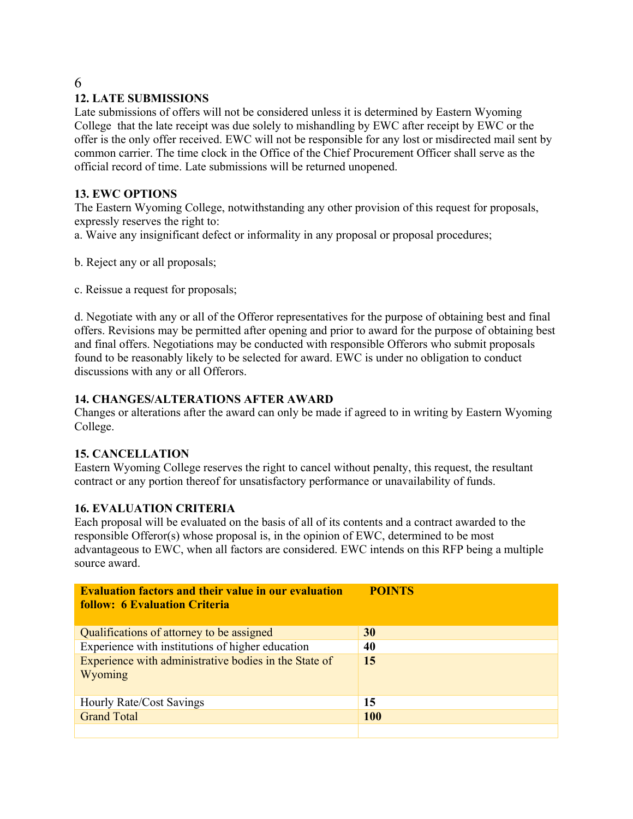# 6

# **12. LATE SUBMISSIONS**

Late submissions of offers will not be considered unless it is determined by Eastern Wyoming College that the late receipt was due solely to mishandling by EWC after receipt by EWC or the offer is the only offer received. EWC will not be responsible for any lost or misdirected mail sent by common carrier. The time clock in the Office of the Chief Procurement Officer shall serve as the official record of time. Late submissions will be returned unopened.

## **13. EWC OPTIONS**

The Eastern Wyoming College, notwithstanding any other provision of this request for proposals, expressly reserves the right to:

a. Waive any insignificant defect or informality in any proposal or proposal procedures;

b. Reject any or all proposals;

c. Reissue a request for proposals;

d. Negotiate with any or all of the Offeror representatives for the purpose of obtaining best and final offers. Revisions may be permitted after opening and prior to award for the purpose of obtaining best and final offers. Negotiations may be conducted with responsible Offerors who submit proposals found to be reasonably likely to be selected for award. EWC is under no obligation to conduct discussions with any or all Offerors.

## **14. CHANGES/ALTERATIONS AFTER AWARD**

Changes or alterations after the award can only be made if agreed to in writing by Eastern Wyoming College.

### **15. CANCELLATION**

Eastern Wyoming College reserves the right to cancel without penalty, this request, the resultant contract or any portion thereof for unsatisfactory performance or unavailability of funds.

### **16. EVALUATION CRITERIA**

Each proposal will be evaluated on the basis of all of its contents and a contract awarded to the responsible Offeror(s) whose proposal is, in the opinion of EWC, determined to be most advantageous to EWC, when all factors are considered. EWC intends on this RFP being a multiple source award.

| <b>Evaluation factors and their value in our evaluation</b><br><b>follow: 6 Evaluation Criteria</b> | <b>POINTS</b> |
|-----------------------------------------------------------------------------------------------------|---------------|
| Qualifications of attorney to be assigned                                                           | 30            |
| Experience with institutions of higher education                                                    | 40            |
| Experience with administrative bodies in the State of<br>Wyoming                                    | 15            |
| Hourly Rate/Cost Savings                                                                            | 15            |
| <b>Grand Total</b>                                                                                  | <b>100</b>    |
|                                                                                                     |               |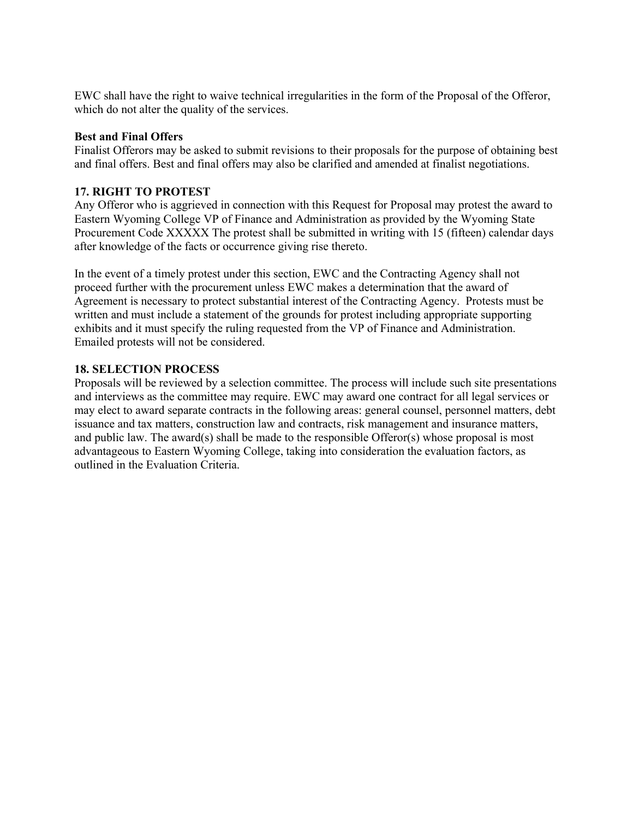EWC shall have the right to waive technical irregularities in the form of the Proposal of the Offeror, which do not alter the quality of the services.

#### **Best and Final Offers**

Finalist Offerors may be asked to submit revisions to their proposals for the purpose of obtaining best and final offers. Best and final offers may also be clarified and amended at finalist negotiations.

### **17. RIGHT TO PROTEST**

Any Offeror who is aggrieved in connection with this Request for Proposal may protest the award to Eastern Wyoming College VP of Finance and Administration as provided by the Wyoming State Procurement Code XXXXX The protest shall be submitted in writing with 15 (fifteen) calendar days after knowledge of the facts or occurrence giving rise thereto.

In the event of a timely protest under this section, EWC and the Contracting Agency shall not proceed further with the procurement unless EWC makes a determination that the award of Agreement is necessary to protect substantial interest of the Contracting Agency. Protests must be written and must include a statement of the grounds for protest including appropriate supporting exhibits and it must specify the ruling requested from the VP of Finance and Administration. Emailed protests will not be considered.

### **18. SELECTION PROCESS**

Proposals will be reviewed by a selection committee. The process will include such site presentations and interviews as the committee may require. EWC may award one contract for all legal services or may elect to award separate contracts in the following areas: general counsel, personnel matters, debt issuance and tax matters, construction law and contracts, risk management and insurance matters, and public law. The award(s) shall be made to the responsible Offeror(s) whose proposal is most advantageous to Eastern Wyoming College, taking into consideration the evaluation factors, as outlined in the Evaluation Criteria.